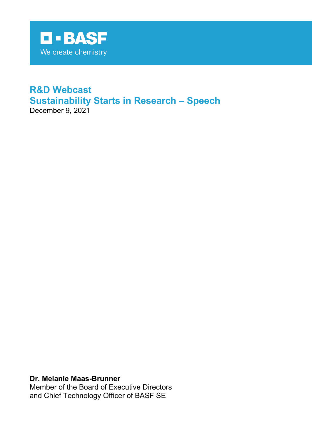

# **R&D Webcast Sustainability Starts in Research – Speech** December 9, 2021

**Dr. Melanie Maas-Brunner**

Member of the Board of Executive Directors and Chief Technology Officer of BASF SE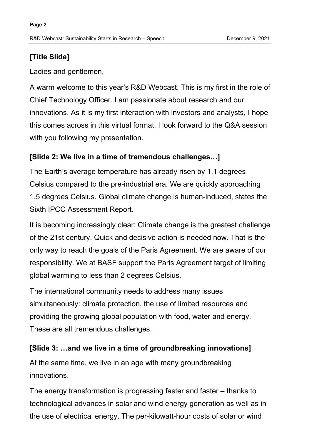# **[Title Slide]**

Ladies and gentlemen,

A warm welcome to this year's R&D Webcast. This is my first in the role of Chief Technology Officer. I am passionate about research and our innovations. As it is my first interaction with investors and analysts, I hope this comes across in this virtual format. I look forward to the Q&A session with you following my presentation.

# **[Slide 2: We live in a time of tremendous challenges…]**

The Earth's average temperature has already risen by 1.1 degrees Celsius compared to the pre-industrial era. We are quickly approaching 1.5 degrees Celsius. Global climate change is human-induced, states the Sixth IPCC Assessment Report.

It is becoming increasingly clear: Climate change is the greatest challenge of the 21st century. Quick and decisive action is needed now. That is the only way to reach the goals of the Paris Agreement. We are aware of our responsibility. We at BASF support the Paris Agreement target of limiting global warming to less than 2 degrees Celsius.

The international community needs to address many issues simultaneously: climate protection, the use of limited resources and providing the growing global population with food, water and energy. These are all tremendous challenges.

# **[Slide 3: …and we live in a time of groundbreaking innovations]**

At the same time, we live in an age with many groundbreaking innovations.

The energy transformation is progressing faster and faster – thanks to technological advances in solar and wind energy generation as well as in the use of electrical energy. The per-kilowatt-hour costs of solar or wind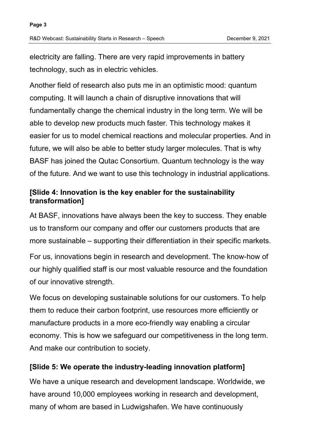electricity are falling. There are very rapid improvements in battery technology, such as in electric vehicles.

Another field of research also puts me in an optimistic mood: quantum computing. It will launch a chain of disruptive innovations that will fundamentally change the chemical industry in the long term. We will be able to develop new products much faster. This technology makes it easier for us to model chemical reactions and molecular properties. And in future, we will also be able to better study larger molecules. That is why BASF has joined the Qutac Consortium. Quantum technology is the way of the future. And we want to use this technology in industrial applications.

# **[Slide 4: Innovation is the key enabler for the sustainability transformation]**

At BASF, innovations have always been the key to success. They enable us to transform our company and offer our customers products that are more sustainable – supporting their differentiation in their specific markets.

For us, innovations begin in research and development. The know-how of our highly qualified staff is our most valuable resource and the foundation of our innovative strength.

We focus on developing sustainable solutions for our customers. To help them to reduce their carbon footprint, use resources more efficiently or manufacture products in a more eco-friendly way enabling a circular economy. This is how we safeguard our competitiveness in the long term. And make our contribution to society.

# **[Slide 5: We operate the industry-leading innovation platform]**

We have a unique research and development landscape. Worldwide, we have around 10,000 employees working in research and development, many of whom are based in Ludwigshafen. We have continuously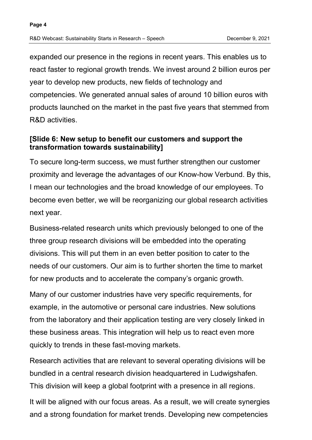expanded our presence in the regions in recent years. This enables us to react faster to regional growth trends. We invest around 2 billion euros per year to develop new products, new fields of technology and competencies. We generated annual sales of around 10 billion euros with products launched on the market in the past five years that stemmed from R&D activities.

### **[Slide 6: New setup to benefit our customers and support the transformation towards sustainability]**

To secure long-term success, we must further strengthen our customer proximity and leverage the advantages of our Know-how Verbund. By this, I mean our technologies and the broad knowledge of our employees. To become even better, we will be reorganizing our global research activities next year.

Business-related research units which previously belonged to one of the three group research divisions will be embedded into the operating divisions. This will put them in an even better position to cater to the needs of our customers. Our aim is to further shorten the time to market for new products and to accelerate the company's organic growth.

Many of our customer industries have very specific requirements, for example, in the automotive or personal care industries. New solutions from the laboratory and their application testing are very closely linked in these business areas. This integration will help us to react even more quickly to trends in these fast-moving markets.

Research activities that are relevant to several operating divisions will be bundled in a central research division headquartered in Ludwigshafen. This division will keep a global footprint with a presence in all regions.

It will be aligned with our focus areas. As a result, we will create synergies and a strong foundation for market trends. Developing new competencies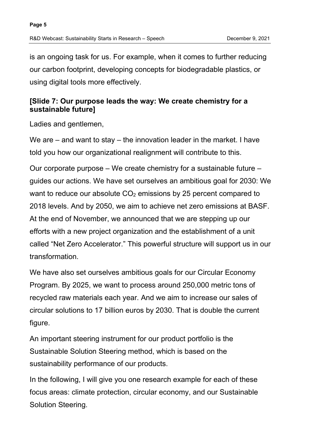is an ongoing task for us. For example, when it comes to further reducing our carbon footprint, developing concepts for biodegradable plastics, or using digital tools more effectively.

# **[Slide 7: Our purpose leads the way: We create chemistry for a sustainable future]**

Ladies and gentlemen.

We are – and want to stay – the innovation leader in the market. I have told you how our organizational realignment will contribute to this.

Our corporate purpose – We create chemistry for a sustainable future – guides our actions. We have set ourselves an ambitious goal for 2030: We want to reduce our absolute  $CO<sub>2</sub>$  emissions by 25 percent compared to 2018 levels. And by 2050, we aim to achieve net zero emissions at BASF. At the end of November, we announced that we are stepping up our efforts with a new project organization and the establishment of a unit called "Net Zero Accelerator." This powerful structure will support us in our transformation.

We have also set ourselves ambitious goals for our Circular Economy Program. By 2025, we want to process around 250,000 metric tons of recycled raw materials each year. And we aim to increase our sales of circular solutions to 17 billion euros by 2030. That is double the current figure.

An important steering instrument for our product portfolio is the Sustainable Solution Steering method, which is based on the sustainability performance of our products.

In the following, I will give you one research example for each of these focus areas: climate protection, circular economy, and our Sustainable Solution Steering.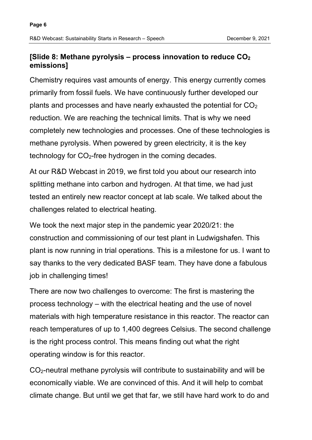### **[Slide 8: Methane pyrolysis – process innovation to reduce CO2 emissions]**

Chemistry requires vast amounts of energy. This energy currently comes primarily from fossil fuels. We have continuously further developed our plants and processes and have nearly exhausted the potential for  $CO<sub>2</sub>$ reduction. We are reaching the technical limits. That is why we need completely new technologies and processes. One of these technologies is methane pyrolysis. When powered by green electricity, it is the key technology for  $CO<sub>2</sub>$ -free hydrogen in the coming decades.

At our R&D Webcast in 2019, we first told you about our research into splitting methane into carbon and hydrogen. At that time, we had just tested an entirely new reactor concept at lab scale. We talked about the challenges related to electrical heating.

We took the next major step in the pandemic year 2020/21: the construction and commissioning of our test plant in Ludwigshafen. This plant is now running in trial operations. This is a milestone for us. I want to say thanks to the very dedicated BASF team. They have done a fabulous job in challenging times!

There are now two challenges to overcome: The first is mastering the process technology – with the electrical heating and the use of novel materials with high temperature resistance in this reactor. The reactor can reach temperatures of up to 1,400 degrees Celsius. The second challenge is the right process control. This means finding out what the right operating window is for this reactor.

CO2-neutral methane pyrolysis will contribute to sustainability and will be economically viable. We are convinced of this. And it will help to combat climate change. But until we get that far, we still have hard work to do and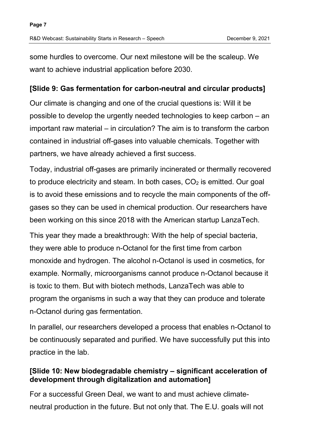some hurdles to overcome. Our next milestone will be the scaleup. We want to achieve industrial application before 2030.

#### **[Slide 9: Gas fermentation for carbon-neutral and circular products]**

Our climate is changing and one of the crucial questions is: Will it be possible to develop the urgently needed technologies to keep carbon – an important raw material – in circulation? The aim is to transform the carbon contained in industrial off-gases into valuable chemicals. Together with partners, we have already achieved a first success.

Today, industrial off-gases are primarily incinerated or thermally recovered to produce electricity and steam. In both cases,  $CO<sub>2</sub>$  is emitted. Our goal is to avoid these emissions and to recycle the main components of the offgases so they can be used in chemical production. Our researchers have been working on this since 2018 with the American startup LanzaTech.

This year they made a breakthrough: With the help of special bacteria, they were able to produce n-Octanol for the first time from carbon monoxide and hydrogen. The alcohol n-Octanol is used in cosmetics, for example. Normally, microorganisms cannot produce n-Octanol because it is toxic to them. But with biotech methods, LanzaTech was able to program the organisms in such a way that they can produce and tolerate n-Octanol during gas fermentation.

In parallel, our researchers developed a process that enables n-Octanol to be continuously separated and purified. We have successfully put this into practice in the lab.

### **[Slide 10: New biodegradable chemistry – significant acceleration of development through digitalization and automation]**

For a successful Green Deal, we want to and must achieve climateneutral production in the future. But not only that. The E.U. goals will not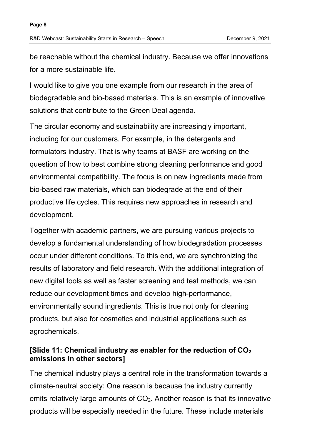be reachable without the chemical industry. Because we offer innovations for a more sustainable life.

I would like to give you one example from our research in the area of biodegradable and bio-based materials. This is an example of innovative solutions that contribute to the Green Deal agenda.

The circular economy and sustainability are increasingly important, including for our customers. For example, in the detergents and formulators industry. That is why teams at BASF are working on the question of how to best combine strong cleaning performance and good environmental compatibility. The focus is on new ingredients made from bio-based raw materials, which can biodegrade at the end of their productive life cycles. This requires new approaches in research and development.

Together with academic partners, we are pursuing various projects to develop a fundamental understanding of how biodegradation processes occur under different conditions. To this end, we are synchronizing the results of laboratory and field research. With the additional integration of new digital tools as well as faster screening and test methods, we can reduce our development times and develop high-performance, environmentally sound ingredients. This is true not only for cleaning products, but also for cosmetics and industrial applications such as agrochemicals.

# **[Slide 11: Chemical industry as enabler for the reduction of CO2 emissions in other sectors]**

The chemical industry plays a central role in the transformation towards a climate-neutral society: One reason is because the industry currently emits relatively large amounts of CO<sub>2</sub>. Another reason is that its innovative products will be especially needed in the future. These include materials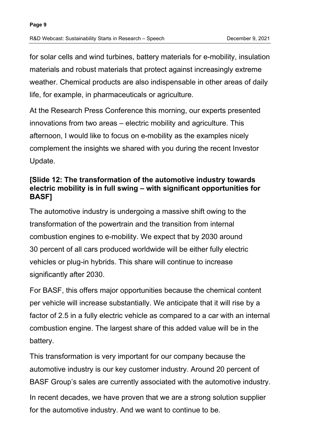for solar cells and wind turbines, battery materials for e-mobility, insulation materials and robust materials that protect against increasingly extreme weather. Chemical products are also indispensable in other areas of daily life, for example, in pharmaceuticals or agriculture.

At the Research Press Conference this morning, our experts presented innovations from two areas – electric mobility and agriculture. This afternoon, I would like to focus on e-mobility as the examples nicely complement the insights we shared with you during the recent Investor Update.

### **[Slide 12: The transformation of the automotive industry towards electric mobility is in full swing – with significant opportunities for BASF]**

The automotive industry is undergoing a massive shift owing to the transformation of the powertrain and the transition from internal combustion engines to e-mobility. We expect that by 2030 around 30 percent of all cars produced worldwide will be either fully electric vehicles or plug-in hybrids. This share will continue to increase significantly after 2030.

For BASF, this offers major opportunities because the chemical content per vehicle will increase substantially. We anticipate that it will rise by a factor of 2.5 in a fully electric vehicle as compared to a car with an internal combustion engine. The largest share of this added value will be in the battery.

This transformation is very important for our company because the automotive industry is our key customer industry. Around 20 percent of BASF Group's sales are currently associated with the automotive industry.

In recent decades, we have proven that we are a strong solution supplier for the automotive industry. And we want to continue to be.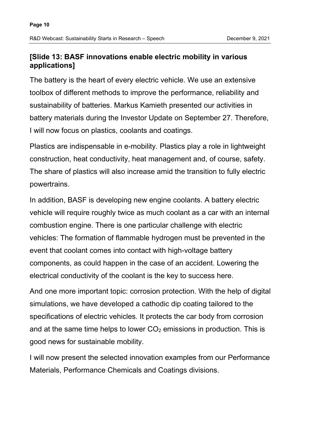#### **[Slide 13: BASF innovations enable electric mobility in various applications]**

The battery is the heart of every electric vehicle. We use an extensive toolbox of different methods to improve the performance, reliability and sustainability of batteries. Markus Kamieth presented our activities in battery materials during the Investor Update on September 27. Therefore, I will now focus on plastics, coolants and coatings.

Plastics are indispensable in e-mobility. Plastics play a role in lightweight construction, heat conductivity, heat management and, of course, safety. The share of plastics will also increase amid the transition to fully electric powertrains.

In addition, BASF is developing new engine coolants. A battery electric vehicle will require roughly twice as much coolant as a car with an internal combustion engine. There is one particular challenge with electric vehicles: The formation of flammable hydrogen must be prevented in the event that coolant comes into contact with high-voltage battery components, as could happen in the case of an accident. Lowering the electrical conductivity of the coolant is the key to success here.

And one more important topic: corrosion protection. With the help of digital simulations, we have developed a cathodic dip coating tailored to the specifications of electric vehicles. It protects the car body from corrosion and at the same time helps to lower  $CO<sub>2</sub>$  emissions in production. This is good news for sustainable mobility.

I will now present the selected innovation examples from our Performance Materials, Performance Chemicals and Coatings divisions.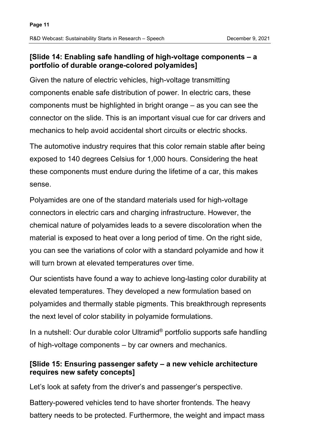### **[Slide 14: Enabling safe handling of high-voltage components – a portfolio of durable orange-colored polyamides]**

Given the nature of electric vehicles, high-voltage transmitting components enable safe distribution of power. In electric cars, these components must be highlighted in bright orange – as you can see the connector on the slide. This is an important visual cue for car drivers and mechanics to help avoid accidental short circuits or electric shocks.

The automotive industry requires that this color remain stable after being exposed to 140 degrees Celsius for 1,000 hours. Considering the heat these components must endure during the lifetime of a car, this makes sense.

Polyamides are one of the standard materials used for high-voltage connectors in electric cars and charging infrastructure. However, the chemical nature of polyamides leads to a severe discoloration when the material is exposed to heat over a long period of time. On the right side, you can see the variations of color with a standard polyamide and how it will turn brown at elevated temperatures over time.

Our scientists have found a way to achieve long-lasting color durability at elevated temperatures. They developed a new formulation based on polyamides and thermally stable pigments. This breakthrough represents the next level of color stability in polyamide formulations.

In a nutshell: Our durable color Ultramid® portfolio supports safe handling of high-voltage components – by car owners and mechanics.

# **[Slide 15: Ensuring passenger safety – a new vehicle architecture requires new safety concepts]**

Let's look at safety from the driver's and passenger's perspective.

Battery-powered vehicles tend to have shorter frontends. The heavy battery needs to be protected. Furthermore, the weight and impact mass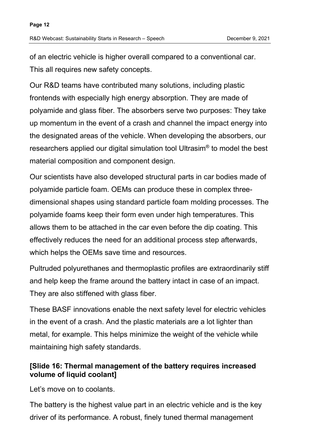of an electric vehicle is higher overall compared to a conventional car. This all requires new safety concepts.

Our R&D teams have contributed many solutions, including plastic frontends with especially high energy absorption. They are made of polyamide and glass fiber. The absorbers serve two purposes: They take up momentum in the event of a crash and channel the impact energy into the designated areas of the vehicle. When developing the absorbers, our researchers applied our digital simulation tool Ultrasim® to model the best material composition and component design.

Our scientists have also developed structural parts in car bodies made of polyamide particle foam. OEMs can produce these in complex threedimensional shapes using standard particle foam molding processes. The polyamide foams keep their form even under high temperatures. This allows them to be attached in the car even before the dip coating. This effectively reduces the need for an additional process step afterwards, which helps the OEMs save time and resources.

Pultruded polyurethanes and thermoplastic profiles are extraordinarily stiff and help keep the frame around the battery intact in case of an impact. They are also stiffened with glass fiber.

These BASF innovations enable the next safety level for electric vehicles in the event of a crash. And the plastic materials are a lot lighter than metal, for example. This helps minimize the weight of the vehicle while maintaining high safety standards.

### **[Slide 16: Thermal management of the battery requires increased volume of liquid coolant]**

Let's move on to coolants.

The battery is the highest value part in an electric vehicle and is the key driver of its performance. A robust, finely tuned thermal management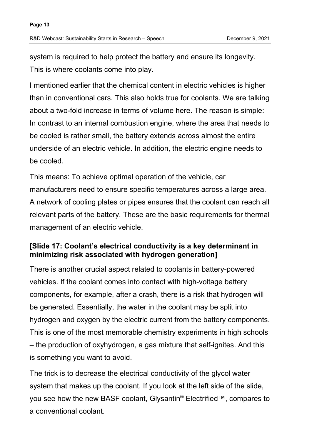system is required to help protect the battery and ensure its longevity. This is where coolants come into play.

I mentioned earlier that the chemical content in electric vehicles is higher than in conventional cars. This also holds true for coolants. We are talking about a two-fold increase in terms of volume here. The reason is simple: In contrast to an internal combustion engine, where the area that needs to be cooled is rather small, the battery extends across almost the entire underside of an electric vehicle. In addition, the electric engine needs to be cooled.

This means: To achieve optimal operation of the vehicle, car manufacturers need to ensure specific temperatures across a large area. A network of cooling plates or pipes ensures that the coolant can reach all relevant parts of the battery. These are the basic requirements for thermal management of an electric vehicle.

#### **[Slide 17: Coolant's electrical conductivity is a key determinant in minimizing risk associated with hydrogen generation]**

There is another crucial aspect related to coolants in battery-powered vehicles. If the coolant comes into contact with high-voltage battery components, for example, after a crash, there is a risk that hydrogen will be generated. Essentially, the water in the coolant may be split into hydrogen and oxygen by the electric current from the battery components. This is one of the most memorable chemistry experiments in high schools – the production of oxyhydrogen, a gas mixture that self-ignites. And this is something you want to avoid.

The trick is to decrease the electrical conductivity of the glycol water system that makes up the coolant. If you look at the left side of the slide, you see how the new BASF coolant, Glysantin® Electrified™, compares to a conventional coolant.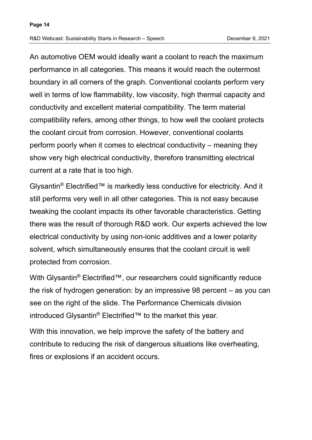An automotive OEM would ideally want a coolant to reach the maximum performance in all categories. This means it would reach the outermost boundary in all corners of the graph. Conventional coolants perform very well in terms of low flammability, low viscosity, high thermal capacity and conductivity and excellent material compatibility. The term material compatibility refers, among other things, to how well the coolant protects the coolant circuit from corrosion. However, conventional coolants perform poorly when it comes to electrical conductivity – meaning they show very high electrical conductivity, therefore transmitting electrical current at a rate that is too high.

Glysantin® Electrified™ is markedly less conductive for electricity. And it still performs very well in all other categories. This is not easy because tweaking the coolant impacts its other favorable characteristics. Getting there was the result of thorough R&D work. Our experts achieved the low electrical conductivity by using non-ionic additives and a lower polarity solvent, which simultaneously ensures that the coolant circuit is well protected from corrosion.

With Glysantin<sup>®</sup> Electrified™, our researchers could significantly reduce the risk of hydrogen generation: by an impressive 98 percent – as you can see on the right of the slide. The Performance Chemicals division introduced Glysantin® Electrified™ to the market this year.

With this innovation, we help improve the safety of the battery and contribute to reducing the risk of dangerous situations like overheating, fires or explosions if an accident occurs.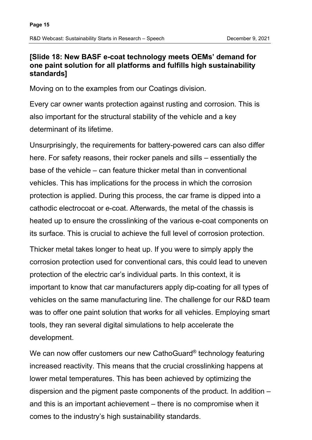#### **[Slide 18: New BASF e-coat technology meets OEMs' demand for one paint solution for all platforms and fulfills high sustainability standards]**

Moving on to the examples from our Coatings division.

Every car owner wants protection against rusting and corrosion. This is also important for the structural stability of the vehicle and a key determinant of its lifetime.

Unsurprisingly, the requirements for battery-powered cars can also differ here. For safety reasons, their rocker panels and sills – essentially the base of the vehicle – can feature thicker metal than in conventional vehicles. This has implications for the process in which the corrosion protection is applied. During this process, the car frame is dipped into a cathodic electrocoat or e-coat. Afterwards, the metal of the chassis is heated up to ensure the crosslinking of the various e-coat components on its surface. This is crucial to achieve the full level of corrosion protection.

Thicker metal takes longer to heat up. If you were to simply apply the corrosion protection used for conventional cars, this could lead to uneven protection of the electric car's individual parts. In this context, it is important to know that car manufacturers apply dip-coating for all types of vehicles on the same manufacturing line. The challenge for our R&D team was to offer one paint solution that works for all vehicles. Employing smart tools, they ran several digital simulations to help accelerate the development.

We can now offer customers our new CathoGuard® technology featuring increased reactivity. This means that the crucial crosslinking happens at lower metal temperatures. This has been achieved by optimizing the dispersion and the pigment paste components of the product. In addition – and this is an important achievement – there is no compromise when it comes to the industry's high sustainability standards.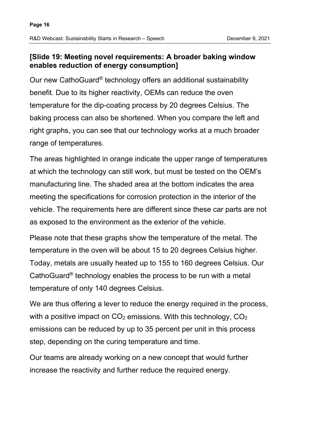# **[Slide 19: Meeting novel requirements: A broader baking window enables reduction of energy consumption]**

Our new CathoGuard® technology offers an additional sustainability benefit. Due to its higher reactivity, OEMs can reduce the oven temperature for the dip-coating process by 20 degrees Celsius. The baking process can also be shortened. When you compare the left and right graphs, you can see that our technology works at a much broader range of temperatures.

The areas highlighted in orange indicate the upper range of temperatures at which the technology can still work, but must be tested on the OEM's manufacturing line. The shaded area at the bottom indicates the area meeting the specifications for corrosion protection in the interior of the vehicle. The requirements here are different since these car parts are not as exposed to the environment as the exterior of the vehicle.

Please note that these graphs show the temperature of the metal. The temperature in the oven will be about 15 to 20 degrees Celsius higher. Today, metals are usually heated up to 155 to 160 degrees Celsius. Our CathoGuard® technology enables the process to be run with a metal temperature of only 140 degrees Celsius.

We are thus offering a lever to reduce the energy required in the process, with a positive impact on  $CO<sub>2</sub>$  emissions. With this technology,  $CO<sub>2</sub>$ emissions can be reduced by up to 35 percent per unit in this process step, depending on the curing temperature and time.

Our teams are already working on a new concept that would further increase the reactivity and further reduce the required energy.